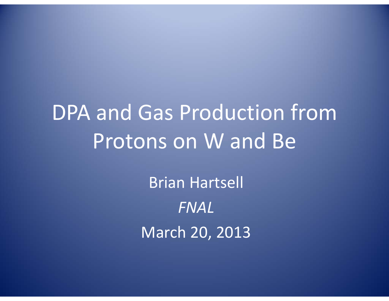# DPA and Gas Production from Protons on W and Be

Brian Hartsell *FNAL*March 20, 2013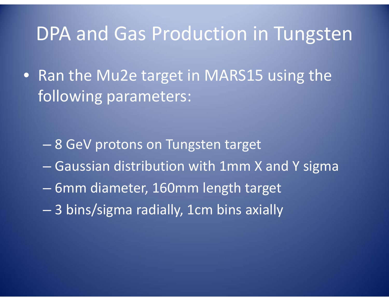#### DPA and Gas Production in Tungsten

• Ran the Mu2e target in MARS15 using the following parameters:

- 8 GeV protons on Tungsten target
- Gaussian distribution with 1mm X and Y sigma
- 6mm diameter, 160mm length target
- 3 bins/sigma radially, 1cm bins axially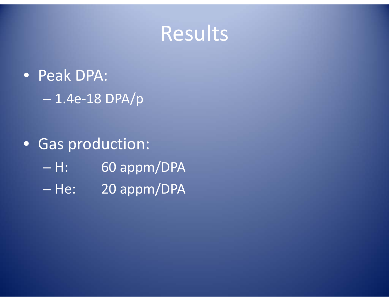### Results

- Peak DPA: 1.4e‐18 DPA/p
- Gas production: –60 appm/DPA - He: 20 appm/DPA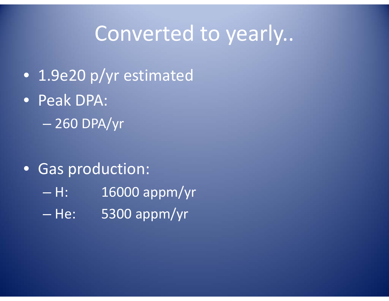### Converted to yearly..

- 1.9e20 p/yr estimated
- Peak DPA:
	- 260 DPA/yr
- Gas production:
	- H: 16000 appm/yr
	- He: 5300 appm/yr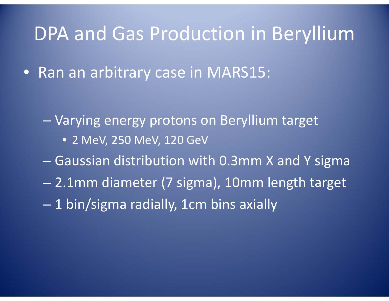### DPA and Gas Production in Beryllium

• Ran an arbitrary case in MARS15:

- Varying energy protons on Beryllium target
	- 2 MeV, 250 MeV, 120 GeV
- Gaussian distribution with 0.3mm X and Y sigma
- 2.1mm diameter (7 sigma), 10mm length target
- 1 bin/sigma radially, 1cm bins axially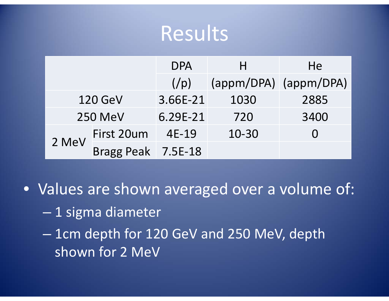### Results

|                |                    | <b>DPA</b>        | н     | He                    |
|----------------|--------------------|-------------------|-------|-----------------------|
|                |                    | (y <sub>p</sub> ) |       | (appm/DPA) (appm/DPA) |
| <b>120 GeV</b> |                    | 3.66E-21          | 1030  | 2885                  |
| <b>250 MeV</b> |                    | 6.29E-21          | 720   | 3400                  |
| 2 MeV          | First 20um         | 4E-19             | 10-30 |                       |
|                | Bragg Peak 7.5E-18 |                   |       |                       |

• Values are shown averaged over <sup>a</sup> volume of:

- $-$  1 sigma diameter
- 1cm depth for 120 GeV and 250 MeV, depth shown for 2 MeV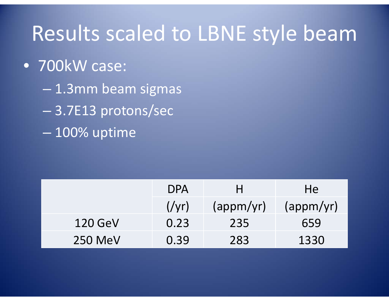### Results scaled to LBNE style beam

#### • 700kW case:

- 1.3mm beam sigmas
- 3.7E13 protons/sec
- 100% uptime

|                | <b>DPA</b> |           | He.                |
|----------------|------------|-----------|--------------------|
|                | (yr)       | (appm/yr) | $\frac{1}{\gamma}$ |
| <b>120 GeV</b> | 0.23       | 235       | 659                |
| <b>250 MeV</b> | 0.39       | 283       | 1330               |